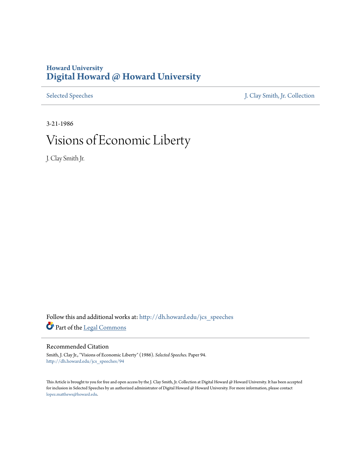## **Howard University [Digital Howard @ Howard University](http://dh.howard.edu?utm_source=dh.howard.edu%2Fjcs_speeches%2F94&utm_medium=PDF&utm_campaign=PDFCoverPages)**

[Selected Speeches](http://dh.howard.edu/jcs_speeches?utm_source=dh.howard.edu%2Fjcs_speeches%2F94&utm_medium=PDF&utm_campaign=PDFCoverPages) [J. Clay Smith, Jr. Collection](http://dh.howard.edu/jcsmith?utm_source=dh.howard.edu%2Fjcs_speeches%2F94&utm_medium=PDF&utm_campaign=PDFCoverPages)

3-21-1986

## Visions of Economic Liberty

J. Clay Smith Jr.

Follow this and additional works at: [http://dh.howard.edu/jcs\\_speeches](http://dh.howard.edu/jcs_speeches?utm_source=dh.howard.edu%2Fjcs_speeches%2F94&utm_medium=PDF&utm_campaign=PDFCoverPages) Part of the [Legal Commons](http://network.bepress.com/hgg/discipline/502?utm_source=dh.howard.edu%2Fjcs_speeches%2F94&utm_medium=PDF&utm_campaign=PDFCoverPages)

## Recommended Citation

Smith, J. Clay Jr., "Visions of Economic Liberty" (1986). *Selected Speeches.* Paper 94. [http://dh.howard.edu/jcs\\_speeches/94](http://dh.howard.edu/jcs_speeches/94?utm_source=dh.howard.edu%2Fjcs_speeches%2F94&utm_medium=PDF&utm_campaign=PDFCoverPages)

This Article is brought to you for free and open access by the J. Clay Smith, Jr. Collection at Digital Howard @ Howard University. It has been accepted for inclusion in Selected Speeches by an authorized administrator of Digital Howard @ Howard University. For more information, please contact [lopez.matthews@howard.edu.](mailto:lopez.matthews@howard.edu)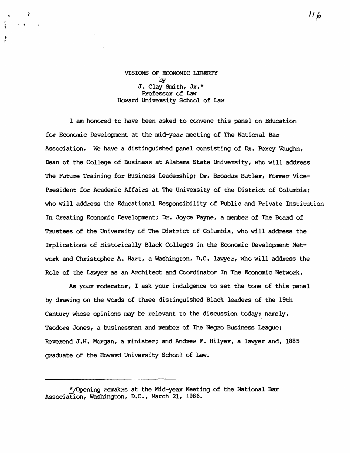## VISIONS OF ECONOMIC LIBERTY  $b**v**$ J. Clay Smith, Jr.\* Professor of Law Howard University School of Law

I am honored to have been asked to convene this panel on Education for Economic Development at the mid-year meeting of The National Bar Association. We have a distinguished panel consisting of Dr. Percy Vaughn, Dean of the College of Business at Alabama State University, who will address The Future Training for Business Leadership; Dr. Broadus Butler, Former Vice-President for Academic Affairs at The University of the District of Columbia; who will address the Educational Responsibility of Public and Private Institution In Creating Economic Development; Dr. Joyce Payne, a member of The Board of Trustees of the University of The District of Columbia, who will address the Implications of Historically Black Colleges in the Economic Development Network and Christopher A. Hart, a Washington, D.C. lawyer, who will address the Role of the Lawyer as an Architect and Coordinator In The Economic Network.

As your moderator, I ask your indulgence to set the tone of this panel by drawing on the words of three distinguished Black leaders of the 19th Century whose opinions may be relevant to the discussion today; namely, Teodore Jones, a businessman and member of The Negro Business League; Reverend J.H. Morgan, a minister; and Andrew F. Hilyer, a lawyer and, 1885 graduate of the Howard University School of Law.

<sup>\*/</sup>Opening remakrs at the Mid-year Meeting of the National Bar Association, Washington, D.C., March 21, 1986.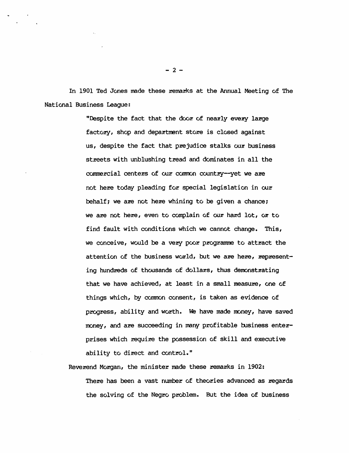In 1901 Ted Jones made these remarks at the Annual Meeting of The National Business League:

> "Despite the fact that the door of nearly every large factory, shop and department store is closed against us, despite the fact that prejudice stalks our business streets with unblushing tread and dominates in all the commercial centers of our common country--yet we are not here today pleading for special legislation in our behalf; we are not here whining to be given a chance; we are not here, even to complain of our hard lot, or to find fault with conditions which we cannot change. This, we conceive, would be a very poor programme to attract the attention of the business world, but we are here, representing hundreds of thousands of dollars, thus demonstrating that we have achieved, at least in a small measure, one of things which, by common consent, is taken as evidence of progress, ability and worth. We have made money, have saved money, and are succeeding in many profitable business enterprises which require the possession of skill and executive ability to direct and control."

Reverend Morgan, the minister made these remarks in 1902: There has been a vast number of theories advanced as regards the solving of the Negro problem. But the idea of business

 $-2-$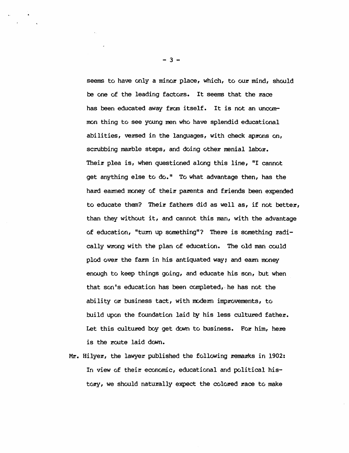seems to have only a minor place, which, to our mind, should be one of the leading factors. It seems that the race has been educated away from itself. It is not an uncommon thing to see young men who have splendid educational abilities, versed in the languages, with check aprons on, scrubbing marble steps, and doing other menial labor. Their plea is, when questioned along this line, "I cannot get anything else to do." To what advantage then, has the hard earned money of their parents and friends been expended to educate them? Their fathers did as well as, if not better, than they without it, and cannot this man, with the advantage of education, "turn up something"? There is something radically wrong with the plan of education. The old man could plod over the farm in his antiquated way; and earn money enough to keep things going, and educate his son, but when that son's education has been completed, he has not the ability or business tact, with modern improvements, to build upon the foundation laid by his less cultured father. Let this cultured boy get down to business. For him, here is the route laid down.

Mr. Hilyer, the lawyer published the following remarks in 1902: In view of their economic, educational and political history, we should naturally expect the colored race to make

 $-3-$